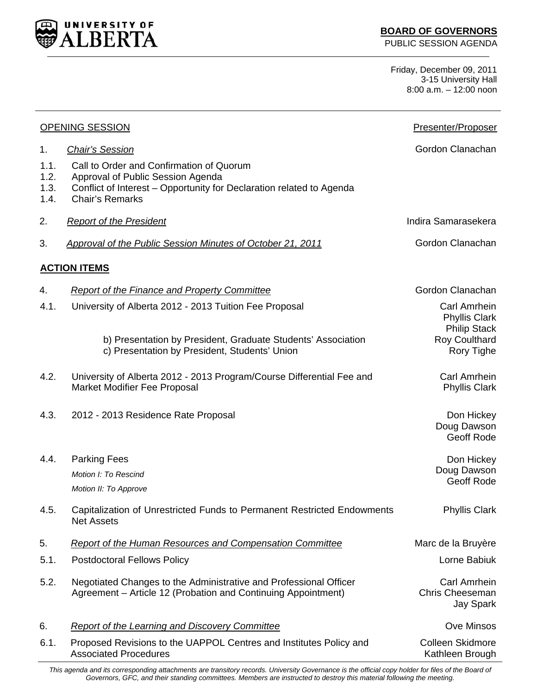

**BOARD OF GOVERNORS** 

PUBLIC SESSION AGENDA

Friday, December 09, 2011 3-15 University Hall 8:00 a.m. – 12:00 noon

| <b>OPENING SESSION</b>       |                                                                                                                                                                                 | Presenter/Proposer                                          |
|------------------------------|---------------------------------------------------------------------------------------------------------------------------------------------------------------------------------|-------------------------------------------------------------|
| 1 <sub>1</sub>               | <b>Chair's Session</b>                                                                                                                                                          | Gordon Clanachan                                            |
| 1.1.<br>1.2.<br>1.3.<br>1.4. | Call to Order and Confirmation of Quorum<br>Approval of Public Session Agenda<br>Conflict of Interest – Opportunity for Declaration related to Agenda<br><b>Chair's Remarks</b> |                                                             |
| 2.                           | <b>Report of the President</b>                                                                                                                                                  | Indira Samarasekera                                         |
| 3.                           | Approval of the Public Session Minutes of October 21, 2011                                                                                                                      | Gordon Clanachan                                            |
|                              | <b>ACTION ITEMS</b>                                                                                                                                                             |                                                             |
| 4.                           | <b>Report of the Finance and Property Committee</b>                                                                                                                             | Gordon Clanachan                                            |
| 4.1.                         | University of Alberta 2012 - 2013 Tuition Fee Proposal                                                                                                                          | Carl Amrhein<br><b>Phyllis Clark</b><br><b>Philip Stack</b> |
|                              | b) Presentation by President, Graduate Students' Association<br>c) Presentation by President, Students' Union                                                                   | <b>Roy Coulthard</b><br>Rory Tighe                          |
| 4.2.                         | University of Alberta 2012 - 2013 Program/Course Differential Fee and<br>Market Modifier Fee Proposal                                                                           | Carl Amrhein<br><b>Phyllis Clark</b>                        |
| 4.3.                         | 2012 - 2013 Residence Rate Proposal                                                                                                                                             | Don Hickey<br>Doug Dawson<br>Geoff Rode                     |
| 4.4.                         | <b>Parking Fees</b>                                                                                                                                                             | Don Hickey                                                  |
|                              | Motion I: To Rescind                                                                                                                                                            | Doug Dawson<br><b>Geoff Rode</b>                            |
|                              | Motion II: To Approve                                                                                                                                                           |                                                             |
| 4.5.                         | Capitalization of Unrestricted Funds to Permanent Restricted Endowments<br><b>Net Assets</b>                                                                                    | <b>Phyllis Clark</b>                                        |
| 5.                           | <b>Report of the Human Resources and Compensation Committee</b>                                                                                                                 | Marc de la Bruyère                                          |
| 5.1.                         | <b>Postdoctoral Fellows Policy</b>                                                                                                                                              | Lorne Babiuk                                                |
| 5.2.                         | Negotiated Changes to the Administrative and Professional Officer<br>Agreement - Article 12 (Probation and Continuing Appointment)                                              | Carl Amrhein<br><b>Chris Cheeseman</b><br><b>Jay Spark</b>  |
| 6.                           | <b>Report of the Learning and Discovery Committee</b>                                                                                                                           | <b>Ove Minsos</b>                                           |
| 6.1.                         | Proposed Revisions to the UAPPOL Centres and Institutes Policy and<br><b>Associated Procedures</b>                                                                              | <b>Colleen Skidmore</b><br>Kathleen Brough                  |

This agenda and its corresponding attachments are transitory records. University Governance is the official copy holder for files of the Board of *Governors, GFC, and their standing committees. Members are instructed to destroy this material following the meeting.*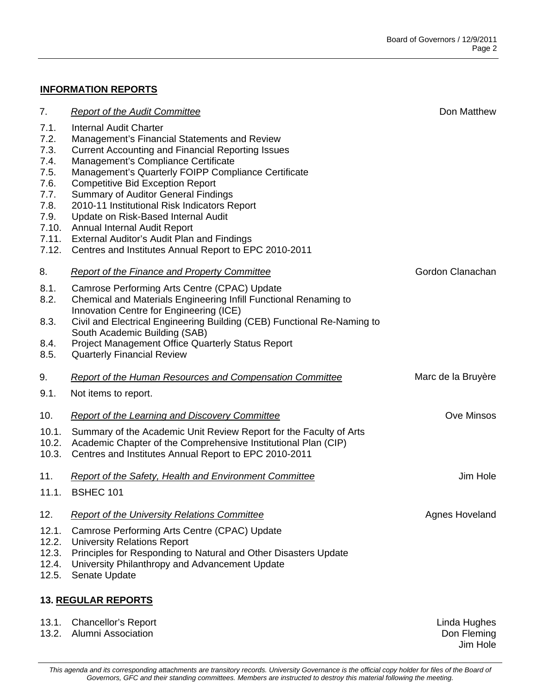## **INFORMATION REPORTS**

| 7.                                                                                              | <b>Report of the Audit Committee</b>                                                                                                                                                                                                                                                                                                                                                                                                                                                                                                                           | Don Matthew           |
|-------------------------------------------------------------------------------------------------|----------------------------------------------------------------------------------------------------------------------------------------------------------------------------------------------------------------------------------------------------------------------------------------------------------------------------------------------------------------------------------------------------------------------------------------------------------------------------------------------------------------------------------------------------------------|-----------------------|
| 7.1.<br>7.2.<br>7.3.<br>7.4.<br>7.5.<br>7.6.<br>7.7.<br>7.8.<br>7.9.<br>7.10.<br>7.11.<br>7.12. | <b>Internal Audit Charter</b><br>Management's Financial Statements and Review<br><b>Current Accounting and Financial Reporting Issues</b><br>Management's Compliance Certificate<br>Management's Quarterly FOIPP Compliance Certificate<br><b>Competitive Bid Exception Report</b><br><b>Summary of Auditor General Findings</b><br>2010-11 Institutional Risk Indicators Report<br>Update on Risk-Based Internal Audit<br>Annual Internal Audit Report<br>External Auditor's Audit Plan and Findings<br>Centres and Institutes Annual Report to EPC 2010-2011 |                       |
| 8.                                                                                              | <b>Report of the Finance and Property Committee</b>                                                                                                                                                                                                                                                                                                                                                                                                                                                                                                            | Gordon Clanachan      |
| 8.1.<br>8.2.<br>8.3.<br>8.4.<br>8.5.                                                            | Camrose Performing Arts Centre (CPAC) Update<br>Chemical and Materials Engineering Infill Functional Renaming to<br>Innovation Centre for Engineering (ICE)<br>Civil and Electrical Engineering Building (CEB) Functional Re-Naming to<br>South Academic Building (SAB)<br><b>Project Management Office Quarterly Status Report</b><br><b>Quarterly Financial Review</b>                                                                                                                                                                                       |                       |
| 9.                                                                                              | <b>Report of the Human Resources and Compensation Committee</b>                                                                                                                                                                                                                                                                                                                                                                                                                                                                                                | Marc de la Bruyère    |
| 9.1.                                                                                            | Not items to report.                                                                                                                                                                                                                                                                                                                                                                                                                                                                                                                                           |                       |
| 10.                                                                                             | <b>Report of the Learning and Discovery Committee</b>                                                                                                                                                                                                                                                                                                                                                                                                                                                                                                          | <b>Ove Minsos</b>     |
| 10.1.<br>10.2.<br>10.3.                                                                         | Summary of the Academic Unit Review Report for the Faculty of Arts<br>Academic Chapter of the Comprehensive Institutional Plan (CIP)<br>Centres and Institutes Annual Report to EPC 2010-2011                                                                                                                                                                                                                                                                                                                                                                  |                       |
| 11.                                                                                             | <b>Report of the Safety, Health and Environment Committee</b>                                                                                                                                                                                                                                                                                                                                                                                                                                                                                                  | Jim Hole              |
|                                                                                                 | 11.1. BSHEC 101                                                                                                                                                                                                                                                                                                                                                                                                                                                                                                                                                |                       |
| 12.                                                                                             | <b>Report of the University Relations Committee</b>                                                                                                                                                                                                                                                                                                                                                                                                                                                                                                            | <b>Agnes Hoveland</b> |
| 12.1.<br>12.2.<br>12.3.<br>12.4.<br>12.5.                                                       | Camrose Performing Arts Centre (CPAC) Update<br><b>University Relations Report</b><br>Principles for Responding to Natural and Other Disasters Update<br>University Philanthropy and Advancement Update<br>Senate Update                                                                                                                                                                                                                                                                                                                                       |                       |
|                                                                                                 | <b>13. REGULAR REPORTS</b>                                                                                                                                                                                                                                                                                                                                                                                                                                                                                                                                     |                       |
| 13.1.                                                                                           | <b>Chancellor's Report</b>                                                                                                                                                                                                                                                                                                                                                                                                                                                                                                                                     | Linda Hughes          |

13.2. Alumni Association

Don Fleming Jim Hole